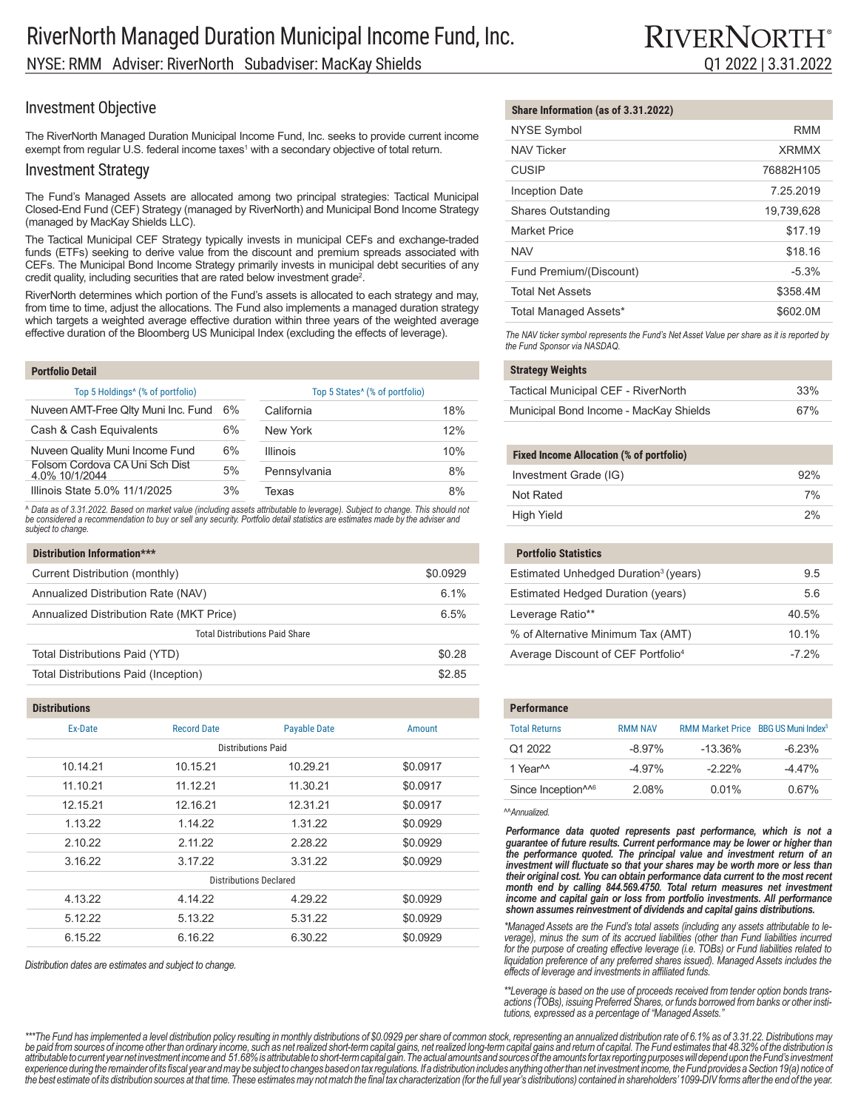The RiverNorth Managed Duration Municipal Income Fund, Inc. seeks to provide current income exempt from regular U.S. federal income taxes $^1$  with a secondary objective of total return.

### Investment Strategy

The Fund's Managed Assets are allocated among two principal strategies: Tactical Municipal Closed-End Fund (CEF) Strategy (managed by RiverNorth) and Municipal Bond Income Strategy (managed by MacKay Shields LLC).

The Tactical Municipal CEF Strategy typically invests in municipal CEFs and exchange-traded funds (ETFs) seeking to derive value from the discount and premium spreads associated with CEFs. The Municipal Bond Income Strategy primarily invests in municipal debt securities of any credit quality, including securities that are rated below investment grade<sup>2</sup>.

RiverNorth determines which portion of the Fund's assets is allocated to each strategy and may, from time to time, adjust the allocations. The Fund also implements a managed duration strategy which targets a weighted average effective duration within three years of the weighted average effective duration of the Bloomberg US Municipal Index (excluding the effects of leverage).

| <b>Portfolio Detail</b>                          |    |                                            |     |
|--------------------------------------------------|----|--------------------------------------------|-----|
| Top 5 Holdings <sup>4</sup> (% of portfolio)     |    | Top 5 States <sup>^</sup> (% of portfolio) |     |
| Nuveen AMT-Free Qlty Muni Inc. Fund              | 6% | California                                 | 18% |
| Cash & Cash Equivalents                          | 6% | New York                                   | 12% |
| Nuveen Quality Muni Income Fund                  | 6% | <b>Illinois</b>                            | 10% |
| Folsom Cordova CA Uni Sch Dist<br>4.0% 10/1/2044 | 5% | Pennsylvania                               | 8%  |
| Illinois State 5.0% 11/1/2025                    | 3% | Texas                                      | 8%  |

^ Data as of 3.31.2022. Based on market value (including assets attributable to leverage). Subject to change. This should not<br>be considered a recommendation to buy or sell any security. Portfolio detail statistics are esti *subject to change.*

| Distribution Information***              |          |  |  |  |
|------------------------------------------|----------|--|--|--|
| Current Distribution (monthly)           | \$0.0929 |  |  |  |
| Annualized Distribution Rate (NAV)       | 6.1%     |  |  |  |
| Annualized Distribution Rate (MKT Price) | 6.5%     |  |  |  |
| <b>Total Distributions Paid Share</b>    |          |  |  |  |
| Total Distributions Paid (YTD)           | \$0.28   |  |  |  |
| Total Distributions Paid (Inception)     | \$2.85   |  |  |  |

#### **Distributions**

| <b>Total Returns</b>                                                                                                                                                                                                                                                                                           | Amount                                                                                  | <b>Payable Date</b>                                                  | <b>Record Date</b>                                  | Ex-Date                                                    |
|----------------------------------------------------------------------------------------------------------------------------------------------------------------------------------------------------------------------------------------------------------------------------------------------------------------|-----------------------------------------------------------------------------------------|----------------------------------------------------------------------|-----------------------------------------------------|------------------------------------------------------------|
| Q1 2022                                                                                                                                                                                                                                                                                                        |                                                                                         |                                                                      |                                                     |                                                            |
| 1 Year <sup>^^</sup>                                                                                                                                                                                                                                                                                           | \$0.0917                                                                                | 10.29.21                                                             | 10.15.21                                            | 10.14.21                                                   |
| Since Inception <sup>116</sup>                                                                                                                                                                                                                                                                                 | \$0.0917                                                                                | 11.30.21                                                             | 11.12.21                                            | 11.10.21                                                   |
|                                                                                                                                                                                                                                                                                                                | \$0.0917                                                                                | 12.31.21                                                             | 12.16.21                                            | 12.15.21                                                   |
| Performance data quoted represents past performance, which is not a<br>quarantee of future results. Current performance may be lower or higher than<br>the performance quoted. The principal value and investment return of an<br>investment will fluctuate so that your shares may be worth more or less than |                                                                                         |                                                                      | 1.14.22                                             | 1.13.22                                                    |
|                                                                                                                                                                                                                                                                                                                |                                                                                         |                                                                      | 2.11.22                                             | 2.10.22                                                    |
|                                                                                                                                                                                                                                                                                                                |                                                                                         |                                                                      | 3.17.22                                             | 3.16.22                                                    |
| their original cost. You can obtain performance data current to the most recent                                                                                                                                                                                                                                |                                                                                         |                                                                      |                                                     |                                                            |
| income and capital gain or loss from portfolio investments. All performance<br>shown assumes reinvestment of dividends and capital gains distributions.<br>*Managed Assets are the Fund's total assets (including any assets attributable to le-                                                               |                                                                                         |                                                                      | 4.14.22                                             | 4.13.22                                                    |
|                                                                                                                                                                                                                                                                                                                |                                                                                         |                                                                      | 5.13.22                                             | 5.12.22                                                    |
| verage), minus the sum of its accrued liabilities (other than Fund liabilities incurred                                                                                                                                                                                                                        |                                                                                         | 6.30.22                                                              | 6.16.22                                             | 6.15.22                                                    |
|                                                                                                                                                                                                                                                                                                                | MAnnualized.<br>month end by calling 844.569.4750. Total return measures net investment | \$0.0929<br>\$0.0929<br>\$0.0929<br>\$0.0929<br>\$0.0929<br>\$0.0929 | 1.31.22<br>2.28.22<br>3.31.22<br>4.29.22<br>5.31.22 | <b>Distributions Paid</b><br><b>Distributions Declared</b> |

*Distribution dates are estimates and subject to change.*

### **Share Information (as of 3.31.2022)**

|                           | RMM          |
|---------------------------|--------------|
| <b>NYSE Symbol</b>        |              |
| <b>NAV Ticker</b>         | <b>XRMMX</b> |
| <b>CUSIP</b>              | 76882H105    |
| <b>Inception Date</b>     | 7.25.2019    |
| <b>Shares Outstanding</b> | 19,739,628   |
| <b>Market Price</b>       | \$17.19      |
| <b>NAV</b>                | \$18.16      |
| Fund Premium/(Discount)   | $-5.3%$      |
| <b>Total Net Assets</b>   | \$358.4M     |
| Total Managed Assets*     | \$602.0M     |

*The NAV ticker symbol represents the Fund's Net Asset Value per share as it is reported by the Fund Sponsor via NASDAQ.*

#### **Strategy Weights**

| Tactical Municipal CEF - RiverNorth    | 33% |
|----------------------------------------|-----|
| Municipal Bond Income - MacKay Shields | 67% |

#### **Fixed Income Allocation (% of portfolio)**

| Investment Grade (IG) | 92% |
|-----------------------|-----|
| Not Rated             | 7%  |
| High Yield            | 2%  |

### **Portfolio Statistics** Estimated Unhedged Duration<sup>3</sup> (years) 9.5

| Estimated Hedged Duration (years)              | 56       |
|------------------------------------------------|----------|
| Leverage Ratio**                               | 40.5%    |
| % of Alternative Minimum Tax (AMT)             | $101\%$  |
| Average Discount of CEF Portfolio <sup>4</sup> | $-7.2\%$ |

| <b>Performance</b>             |                |                                                 |          |
|--------------------------------|----------------|-------------------------------------------------|----------|
| <b>Total Returns</b>           | <b>RMM NAV</b> | RMM Market Price BBG US Muni Index <sup>5</sup> |          |
| Q1 2022                        | $-8.97\%$      | $-13.36%$                                       | $-623%$  |
| 1 Year <sup>^^</sup>           | $-4.97\%$      | $-222%$                                         | $-4.47%$ |
| Since Inception <sup>116</sup> | 208%           | $0.01\%$                                        | 0.67%    |

*for the purpose of creating effective leverage (i.e. TOBs) or Fund liabilities related to liquidation preference of any preferred shares issued). Managed Assets includes the effects of leverage and investments in affiliated funds.*

*\*\*Leverage is based on the use of proceeds received from tender option bonds transactions (TOBs), issuing Preferred Shares, or funds borrowed from banks or other institutions, expressed as a percentage of "Managed Assets."*

\*\*\*The Fund has implemented a level distribution policy resulting in monthly distributions of \$0.0929 per share of common stock, representing an annualized distribution rate of 6.1% as of 3.31.22. Distributions may be paid from sources of income other than ordinary income, such as net realized short-term capital gains, net realized long-term capital gains and return of capital. The Fund estimates that 48.32% of the distribution is attributable to current year net investment income and 51.68% is attributable to short-term capital gain. The actual amounts and sources of the amounts for tax reporting purposes will depend upon the Fund's investment experience during the remainder of its fiscal year and may be subject to changes based on tax regulations. If a distribution includes anything other than net investment income, the Fund provides a Section 19(a) notice of the best estimate of its distribution sources at that time. These estimates may not match the final tax characterization (for the full year's distributions) contained in shareholders' 1099-DIV forms after the end of the ye